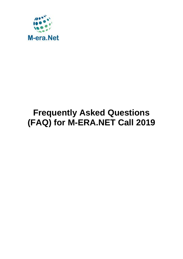

# **Frequently Asked Questions (FAQ) for M-ERA.NET Call 2019**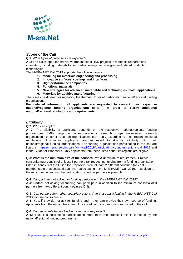

# *Scope of the Call*

**Q 1:** W*hat types of proposals are expected?*

**A 1:** The call is open for innovative transnational R&D projects in materials research and innovation, including materials for low carbon energy technologies and related production technologies.

The M-ERA.NET Call 2019 supports the following topics:

- **1. Modeling for materials engineering and processing**
- **2. Innovative surfaces, coatings and interfaces**
- **3. High performance composites**
- **4. Functional materials**
- **5. New strategies for advanced material-based technologies health applications**
- **6. Materials for additive manufacturing**

There may be differences regarding the thematic focus of participating national/regional funding organisations.

**For detailed information all applicants are requested to contact their respective national/regional funding organisations** (see: ) **in order to clarify additional national/regional regulations and requirements.**

# *Eligibility*

**.** 

#### **Q 2:** *Who can apply?*

**A 2:** The eligibility of applicants depends on the respective national/regional funding programmes. SMEs, large companies, academic research groups, universities, research organisations or other research organisations can apply according to their regional/national regulations. Prospective applicants are requested to discuss eligibility with their national/regional funding organisations. The funding organisations participating in the call are listed at<https://m-era.net/joint-calls/joint-call-2019/participating-countries-regions-call-2019> and in the Guide for Proposers. Only applicants from these listed countries/regions are eligible.

**Q 3: What is the minimum size of the consortium? A 3:** Minimum requirement: Project consortia must consist of at least 3 partners (all requesting funding from a funding organisation listed in Annex 3 of the Guide for Proposers) from at least 2 different countries (at least 1 EU member state or associated country1) participating in the M-ERA.NET Call 2019. In addition to the minimum consortium the participation of further partners is possible.

**Q 4:** *Can partners not asking for funding participate in the M-ERA.NET Call 2019?* 

A 4: Partner not asking for funding can participate in addition to the minimum consortia of 3 partners from two different countries (see Q 3).

#### **Q 5:** *Can partners from other countries/regions than those participating in the M-ERA.NET Call 2019 join the consortium?*

**A 5:** Yes, if they do not ask for funding and if they can provide their own source of funding. Applicants from these countries cannot be coordinators of proposals submitted to the call.

**Q 6:** *Can applicants be involved in more than one project?*

**A 6:** Yes, it is possible to participate in more than one project if this is foreseen by the national/regional funding programme.

<sup>1</sup> [http://ec.europa.eu/research/participants/data/ref/h2020/grants\\_manual/hi/3cpart/h2020-hi-list-ac\\_en.pdf](http://ec.europa.eu/research/participants/data/ref/h2020/grants_manual/hi/3cpart/h2020-hi-list-ac_en.pdf)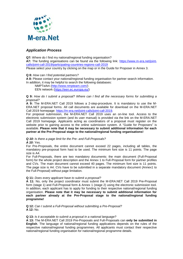

# *Application Process*

**Q7:** Where do I find my national/regional funding organisation?

**A7:** The funding organisations can be found via the following link: [https://www.m-era.net/joint](https://www.m-era.net/joint-calls/joint-call-2019/participating-countries-regions-call-2019)[calls/joint-call-2019/participating-countries-regions-call-2019](https://www.m-era.net/joint-calls/joint-call-2019/participating-countries-regions-call-2019)

Please select your country by clicking on the map or in the Guide for Proposer in Annex 3.

#### **Q 8:** *How can I find potential partners?*

**A 8:** Please contact your national/regional funding organisation for partner search information. In addition, it may be helpful to search the following databases:

NMPTeAm [\(http://www.nmpteam.com/\)](http://www.nmpteam.com/) EEN network [\(https://een.ec.europa.eu/\)](https://een.ec.europa.eu/)

#### **Q 9:** *How do I submit a proposal? Where can I find all the necessary forms for submitting a proposal?*

**A 9:** The M-ERA.NET Call 2019 follows a 2-step-procedure. It is mandatory to use the M-ERA.NET proposal forms. All call documents are available for download on the M-ERA.NET Call 2019 homepage: [https://m-era.net/joint-calls/joint-call-2019.](https://m-era.net/joint-calls/joint-call-2019)

For proposal submission, the M-ERA.NET Call 2019 uses an on-line tool. Access to the electronic submission system (and its user manual) is provided via the link on the M-ERA.NET Call 2019 homepage. Applicants acting as coordinators of a proposal must register on the website prior to gaining access to the online submission system. A "Guide for Proposers" is available. **Please note that it may be necessary to submit additional information for each partner at the Pre-Proposal stage to the national/regional funding organisations!** 

#### *Q 10: Is there a page limit for the Pre- and Full-Proposals?*

*A 10:* Yes.

For Pre-Proposals, the entire document cannot exceed 22 pages, including all tables, the mandatory pre-proposal form hast to be used. The minimum font size is 11 points. The page size is A4.

For Full-Proposals, there are two mandatory documents: the main document (Full-Proposal form) for the whole project description and the Annex 1 to Full-Proposal form for partner profiles and CVs. The main document cannot exceed 40 pages. The minimum font size is 11 points. The page size is A4. CVs have to be submitted in a separate mandatory document (Annex1 to the Full-Proposal) without page limitation.

#### **Q 11:** *Does every applicant have to submit a proposal?*

**A 11:** No, only the project coordinator must submit the M-ERA.NET Call 2019 Pre-Proposal form (stage 1) and Full-Proposal form & Annex 1 (stage 2) using the electronic submission tool. In addition, each applicant has to apply for funding to their respective national/regional funding organisation. **Please note that it may be necessary to submit additional information for each partner already at the Pre-Proposal stage to the national/regional funding programme!** 

**Q 12:** *Can I submit a Full-Proposal without submitting a Pre-Proposal?* **A 12:** No.

#### **Q 13:** *Is it acceptable to submit a proposal in a national language?*

**A 13:** The M-ERA.NET Call 2019 Pre-Proposals and Full-Proposals can **only be submitted in English**. The language of national/regional funding applications depends on the rules of the respective national/regional funding programmes. All applicants must contact their respective national/regional funding organisation for national/regional programme details.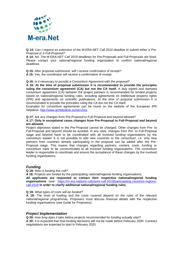

**Q 14:** *Can I request an extension of the M-ERA.NET Call 2019 deadline to submit either a Pre-Proposal or a Full-Proposal?*

**A 14:** No. The M-ERA.NET Call 2019 deadlines for Pre-Proposals and Full-Proposals are fixed. Please contact your national/regional funding organisation to confirm national/regional deadlines.

**Q 15:** *After proposal submission, will I receive confirmation of receipt?*

**A 15:** Yes, the coordinator will receive a confirmation of receipt.

**Q 16:** *Is it necessary to provide a Consortium Agreement with the proposal?*

**A 16: At the time of proposal submission it is recommended to provide the principles ruling the consortium agreement (CA) but not the CA itself.** A duly signed and stamped consortium agreement (CA) between the project partners is recommended for funded projects based on national/regional funding rules, including agreements on intellectual property rights (IPR) and agreements on scientific publications. At the time of proposal submission it is recommended to provide the principles ruling the CA but not the CA itself.

Examples for consortium agreements can be found on the website of the European IPR helpdesk: <http://www.iprhelpdesk.eu/services>

**Q 17:** Are any changes from Pre-Proposal to Full-Proposal and beyond allowed?

**A 17: Only in exceptional cases changes from Pre-Proposal to Full-Proposal and beyond are allowed.**

Project objectives stated in the Pre-Proposal cannot be changed. Other changes from Pre- to Full-Proposal and beyond should be avoided. In any case, changes from Pre- to Full-Proposal stage and beyond have to be coordinated with all involved funding organisations by the consortium leader! It is not possible to add new countries to the consortium, i.e. only new partners from countries already participating in the proposal can be added after the Pre-Proposal stage. This means that changes regarding partners, content, costs, funding or consortium have to be communicated to all involved funding organisations. The consortium leader is responsible to coordinate and ensure the acceptance of these changes by the involved funding organisations.

# *Funding*

#### **Q 18:** *Who is funding this call?*

**A 18:** Projects are funded by the participating national/regional funding organisations. **All applicants are requested to contact their respective national/regional funding organisations** (see: [https://m-era.net/joint-calls/joint-call-2019/participating-countries-regions](https://m-era.net/joint-calls/joint-call-2019/participating-countries-regions-call-2019)[call-2019](https://m-era.net/joint-calls/joint-call-2019/participating-countries-regions-call-2019) **in order to clarify additional national/regional funding rules.**

#### **Q 19:** *What types of costs will be funded?*

**A 19:** The level of funding and the costs covered depend on the rules of the relevant national/regional programmes. Proposers must discuss financial details with the respective funding organisations (see Guide for Proposers).

# *Project Implementation*

**Q 20:** *How long does it take before projects recommended for funding actually start?* **A 20:** It is expected that final funding decisions will not be made before February 2020. Contract negotiations are expected to start in February 2020.